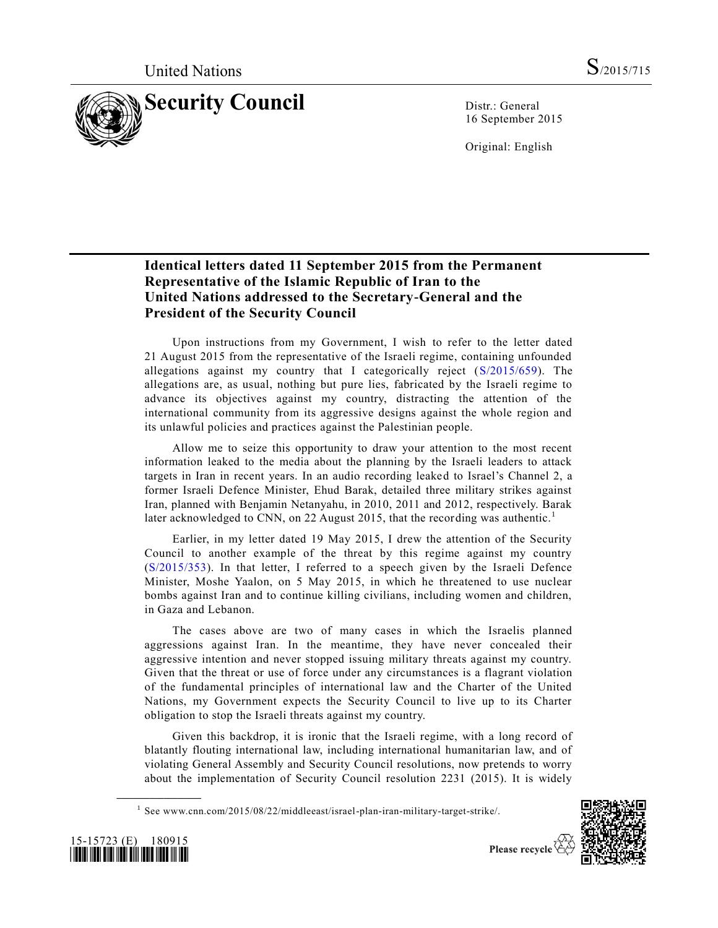

16 September 2015

Original: English

## **Identical letters dated 11 September 2015 from the Permanent Representative of the Islamic Republic of Iran to the United Nations addressed to the Secretary-General and the President of the Security Council**

Upon instructions from my Government, I wish to refer to the letter dated 21 August 2015 from the representative of the Israeli regime, containing unfounded allegations against my country that I categorically reject [\(S/2015/659\)](http://undocs.org/S/2015/659). The allegations are, as usual, nothing but pure lies, fabricated by the Israeli regime to advance its objectives against my country, distracting the attention of the international community from its aggressive designs against the whole region and its unlawful policies and practices against the Palestinian people.

Allow me to seize this opportunity to draw your attention to the most recent information leaked to the media about the planning by the Israeli leaders to attack targets in Iran in recent years. In an audio recording leaked to Israel's Channel 2, a former Israeli Defence Minister, Ehud Barak, detailed three military strikes against Iran, planned with Benjamin Netanyahu, in 2010, 2011 and 2012, respectively. Barak later acknowledged to CNN, on 22 August 2015, that the recording was authentic.<sup>1</sup>

Earlier, in my letter dated 19 May 2015, I drew the attention of the Security Council to another example of the threat by this regime against my country [\(S/2015/353\)](http://undocs.org/S/2015/353). In that letter, I referred to a speech given by the Israeli Defence Minister, Moshe Yaalon, on 5 May 2015, in which he threatened to use nuclear bombs against Iran and to continue killing civilians, including women and children, in Gaza and Lebanon.

The cases above are two of many cases in which the Israelis planned aggressions against Iran. In the meantime, they have never concealed their aggressive intention and never stopped issuing military threats against my country. Given that the threat or use of force under any circumstances is a flagrant violation of the fundamental principles of international law and the Charter of the United Nations, my Government expects the Security Council to live up to its Charter obligation to stop the Israeli threats against my country.

Given this backdrop, it is ironic that the Israeli regime, with a long record of blatantly flouting international law, including international humanitarian law, and of violating General Assembly and Security Council resolutions, now pretends to worry about the implementation of Security Council resolution 2231 (2015). It is widely





**\_\_\_\_\_\_\_\_\_\_\_\_\_\_\_\_\_\_**

<sup>&</sup>lt;sup>1</sup> See www.cnn.com/2015/08/22/middleeast/israel-plan-iran-military-target-strike/.